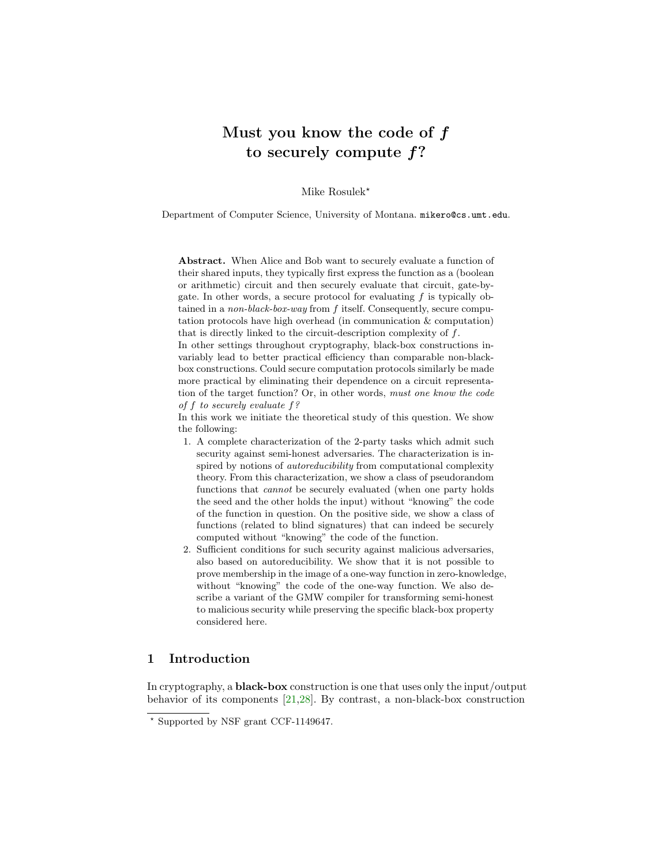# Must you know the code of f to securely compute f?

Mike Rosulek<sup>\*</sup>

Department of Computer Science, University of Montana. mikero@cs.umt.edu.

Abstract. When Alice and Bob want to securely evaluate a function of their shared inputs, they typically first express the function as a (boolean or arithmetic) circuit and then securely evaluate that circuit, gate-bygate. In other words, a secure protocol for evaluating  $f$  is typically obtained in a non-black-box-way from f itself. Consequently, secure computation protocols have high overhead (in communication & computation) that is directly linked to the circuit-description complexity of f.

In other settings throughout cryptography, black-box constructions invariably lead to better practical efficiency than comparable non-blackbox constructions. Could secure computation protocols similarly be made more practical by eliminating their dependence on a circuit representation of the target function? Or, in other words, must one know the code of f to securely evaluate  $f$ ?

In this work we initiate the theoretical study of this question. We show the following:

- 1. A complete characterization of the 2-party tasks which admit such security against semi-honest adversaries. The characterization is inspired by notions of *autoreducibility* from computational complexity theory. From this characterization, we show a class of pseudorandom functions that cannot be securely evaluated (when one party holds the seed and the other holds the input) without "knowing" the code of the function in question. On the positive side, we show a class of functions (related to blind signatures) that can indeed be securely computed without "knowing" the code of the function.
- 2. Sufficient conditions for such security against malicious adversaries, also based on autoreducibility. We show that it is not possible to prove membership in the image of a one-way function in zero-knowledge, without "knowing" the code of the one-way function. We also describe a variant of the GMW compiler for transforming semi-honest to malicious security while preserving the specific black-box property considered here.

# 1 Introduction

In cryptography, a black-box construction is one that uses only the input/output behavior of its components [\[21](#page-17-0)[,28\]](#page-17-1). By contrast, a non-black-box construction

<sup>?</sup> Supported by NSF grant CCF-1149647.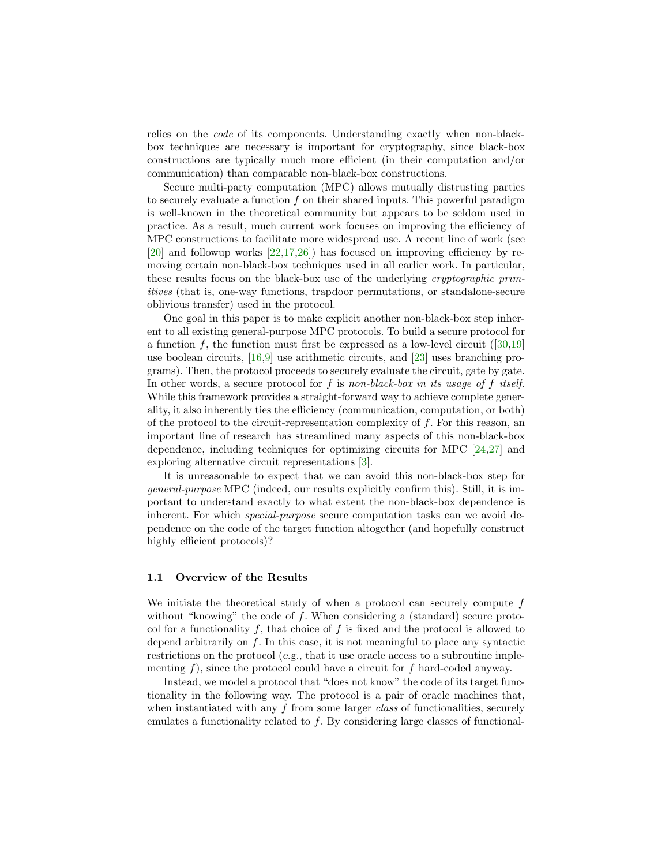relies on the code of its components. Understanding exactly when non-blackbox techniques are necessary is important for cryptography, since black-box constructions are typically much more efficient (in their computation and/or communication) than comparable non-black-box constructions.

Secure multi-party computation (MPC) allows mutually distrusting parties to securely evaluate a function f on their shared inputs. This powerful paradigm is well-known in the theoretical community but appears to be seldom used in practice. As a result, much current work focuses on improving the efficiency of MPC constructions to facilitate more widespread use. A recent line of work (see [\[20\]](#page-17-2) and followup works [\[22,](#page-17-3)[17,](#page-17-4)[26\]](#page-17-5)) has focused on improving efficiency by removing certain non-black-box techniques used in all earlier work. In particular, these results focus on the black-box use of the underlying cryptographic primitives (that is, one-way functions, trapdoor permutations, or standalone-secure oblivious transfer) used in the protocol.

One goal in this paper is to make explicit another non-black-box step inherent to all existing general-purpose MPC protocols. To build a secure protocol for a function f, the function must first be expressed as a low-level circuit  $([30,19]$  $([30,19]$  $([30,19]$ use boolean circuits,  $[16,9]$  $[16,9]$  use arithmetic circuits, and  $[23]$  uses branching programs). Then, the protocol proceeds to securely evaluate the circuit, gate by gate. In other words, a secure protocol for f is non-black-box in its usage of f itself. While this framework provides a straight-forward way to achieve complete generality, it also inherently ties the efficiency (communication, computation, or both) of the protocol to the circuit-representation complexity of  $f$ . For this reason, an important line of research has streamlined many aspects of this non-black-box dependence, including techniques for optimizing circuits for MPC [\[24,](#page-17-10)[27\]](#page-17-11) and exploring alternative circuit representations [\[3\]](#page-16-1).

It is unreasonable to expect that we can avoid this non-black-box step for general-purpose MPC (indeed, our results explicitly confirm this). Still, it is important to understand exactly to what extent the non-black-box dependence is inherent. For which *special-purpose* secure computation tasks can we avoid dependence on the code of the target function altogether (and hopefully construct highly efficient protocols)?

#### 1.1 Overview of the Results

We initiate the theoretical study of when a protocol can securely compute f without "knowing" the code of  $f$ . When considering a (standard) secure protocol for a functionality f, that choice of f is fixed and the protocol is allowed to depend arbitrarily on  $f$ . In this case, it is not meaningful to place any syntactic restrictions on the protocol (e.g., that it use oracle access to a subroutine implementing  $f$ ), since the protocol could have a circuit for  $f$  hard-coded anyway.

Instead, we model a protocol that "does not know" the code of its target functionality in the following way. The protocol is a pair of oracle machines that, when instantiated with any  $f$  from some larger class of functionalities, securely emulates a functionality related to  $f$ . By considering large classes of functional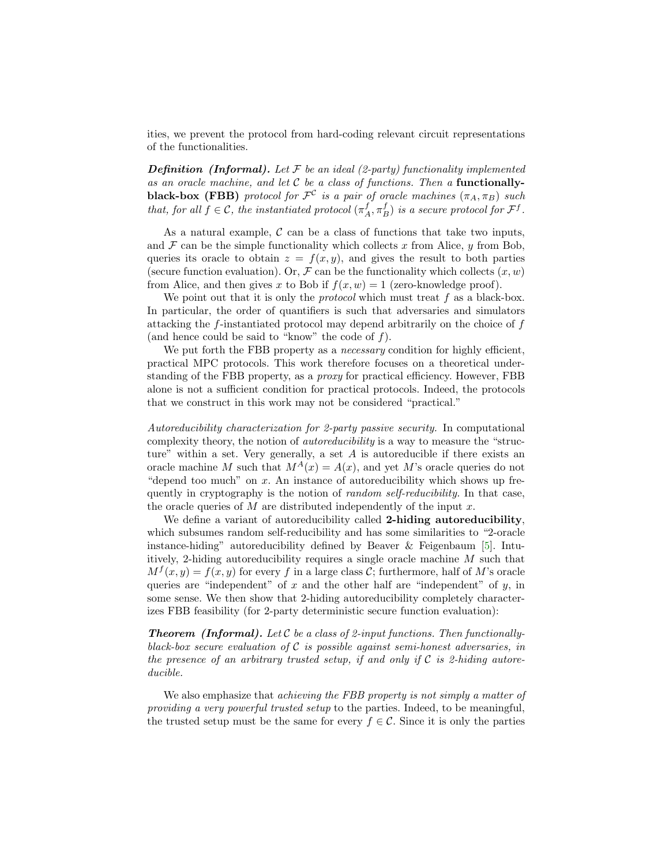ities, we prevent the protocol from hard-coding relevant circuit representations of the functionalities.

**Definition** (Informal). Let F be an ideal (2-party) functionality implemented as an oracle machine, and let  $C$  be a class of functions. Then a functionallyblack-box (FBB) protocol for  $\mathcal{F}^{\mathcal{C}}$  is a pair of oracle machines  $(\pi_A, \pi_B)$  such that, for all  $f \in \mathcal{C}$ , the instantiated protocol  $(\pi_A^f, \pi_B^f)$  is a secure protocol for  $\mathcal{F}^f$ .

As a natural example,  $\mathcal C$  can be a class of functions that take two inputs, and  $\mathcal F$  can be the simple functionality which collects x from Alice, y from Bob, queries its oracle to obtain  $z = f(x, y)$ , and gives the result to both parties (secure function evaluation). Or,  $\mathcal F$  can be the functionality which collects  $(x, w)$ from Alice, and then gives x to Bob if  $f(x, w) = 1$  (zero-knowledge proof).

We point out that it is only the *protocol* which must treat  $f$  as a black-box. In particular, the order of quantifiers is such that adversaries and simulators attacking the f-instantiated protocol may depend arbitrarily on the choice of f (and hence could be said to "know" the code of  $f$ ).

We put forth the FBB property as a *necessary* condition for highly efficient, practical MPC protocols. This work therefore focuses on a theoretical understanding of the FBB property, as a proxy for practical efficiency. However, FBB alone is not a sufficient condition for practical protocols. Indeed, the protocols that we construct in this work may not be considered "practical."

Autoreducibility characterization for 2-party passive security. In computational complexity theory, the notion of autoreducibility is a way to measure the "structure" within a set. Very generally, a set  $A$  is autoreducible if there exists an oracle machine M such that  $M^{A}(x) = A(x)$ , and yet M's oracle queries do not "depend too much" on  $x$ . An instance of autoreducibility which shows up frequently in cryptography is the notion of *random self-reducibility*. In that case, the oracle queries of M are distributed independently of the input  $x$ .

We define a variant of autoreducibility called 2-hiding autoreducibility, which subsumes random self-reducibility and has some similarities to "2-oracle instance-hiding" autoreducibility defined by Beaver & Feigenbaum [\[5\]](#page-16-2). Intuitively, 2-hiding autoreducibility requires a single oracle machine M such that  $M^f(x, y) = f(x, y)$  for every f in a large class C; furthermore, half of M's oracle queries are "independent" of x and the other half are "independent" of  $y$ , in some sense. We then show that 2-hiding autoreducibility completely characterizes FBB feasibility (for 2-party deterministic secure function evaluation):

**Theorem (Informal).** Let C be a class of 2-input functions. Then functionallyblack-box secure evaluation of  $\mathcal C$  is possible against semi-honest adversaries, in the presence of an arbitrary trusted setup, if and only if  $\mathcal C$  is 2-hiding autoreducible.

We also emphasize that *achieving the FBB property is not simply a matter of* providing a very powerful trusted setup to the parties. Indeed, to be meaningful, the trusted setup must be the same for every  $f \in \mathcal{C}$ . Since it is only the parties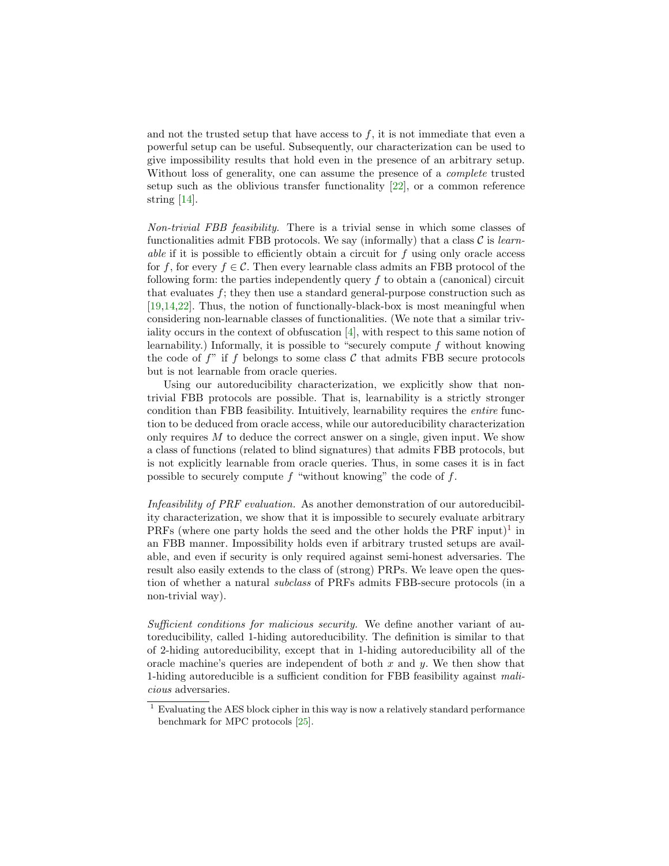and not the trusted setup that have access to  $f$ , it is not immediate that even a powerful setup can be useful. Subsequently, our characterization can be used to give impossibility results that hold even in the presence of an arbitrary setup. Without loss of generality, one can assume the presence of a complete trusted setup such as the oblivious transfer functionality [\[22\]](#page-17-3), or a common reference string [\[14\]](#page-17-12).

Non-trivial FBB feasibility. There is a trivial sense in which some classes of functionalities admit FBB protocols. We say (informally) that a class  $\mathcal C$  is learn*able* if it is possible to efficiently obtain a circuit for  $f$  using only oracle access for f, for every  $f \in \mathcal{C}$ . Then every learnable class admits an FBB protocol of the following form: the parties independently query  $f$  to obtain a (canonical) circuit that evaluates  $f$ ; they then use a standard general-purpose construction such as [\[19](#page-17-7)[,14](#page-17-12)[,22\]](#page-17-3). Thus, the notion of functionally-black-box is most meaningful when considering non-learnable classes of functionalities. (We note that a similar triviality occurs in the context of obfuscation [\[4\]](#page-16-3), with respect to this same notion of learnability.) Informally, it is possible to "securely compute  $f$  without knowing the code of  $f''$  if f belongs to some class C that admits FBB secure protocols but is not learnable from oracle queries.

Using our autoreducibility characterization, we explicitly show that nontrivial FBB protocols are possible. That is, learnability is a strictly stronger condition than FBB feasibility. Intuitively, learnability requires the entire function to be deduced from oracle access, while our autoreducibility characterization only requires  $M$  to deduce the correct answer on a single, given input. We show a class of functions (related to blind signatures) that admits FBB protocols, but is not explicitly learnable from oracle queries. Thus, in some cases it is in fact possible to securely compute f "without knowing" the code of f.

Infeasibility of PRF evaluation. As another demonstration of our autoreducibility characterization, we show that it is impossible to securely evaluate arbitrary PRFs (where one party holds the seed and the other holds the PRF input)<sup>[1](#page-3-0)</sup> in an FBB manner. Impossibility holds even if arbitrary trusted setups are available, and even if security is only required against semi-honest adversaries. The result also easily extends to the class of (strong) PRPs. We leave open the question of whether a natural subclass of PRFs admits FBB-secure protocols (in a non-trivial way).

Sufficient conditions for malicious security. We define another variant of autoreducibility, called 1-hiding autoreducibility. The definition is similar to that of 2-hiding autoreducibility, except that in 1-hiding autoreducibility all of the oracle machine's queries are independent of both  $x$  and  $y$ . We then show that 1-hiding autoreducible is a sufficient condition for FBB feasibility against malicious adversaries.

<span id="page-3-0"></span><sup>1</sup> Evaluating the AES block cipher in this way is now a relatively standard performance benchmark for MPC protocols [\[25\]](#page-17-13).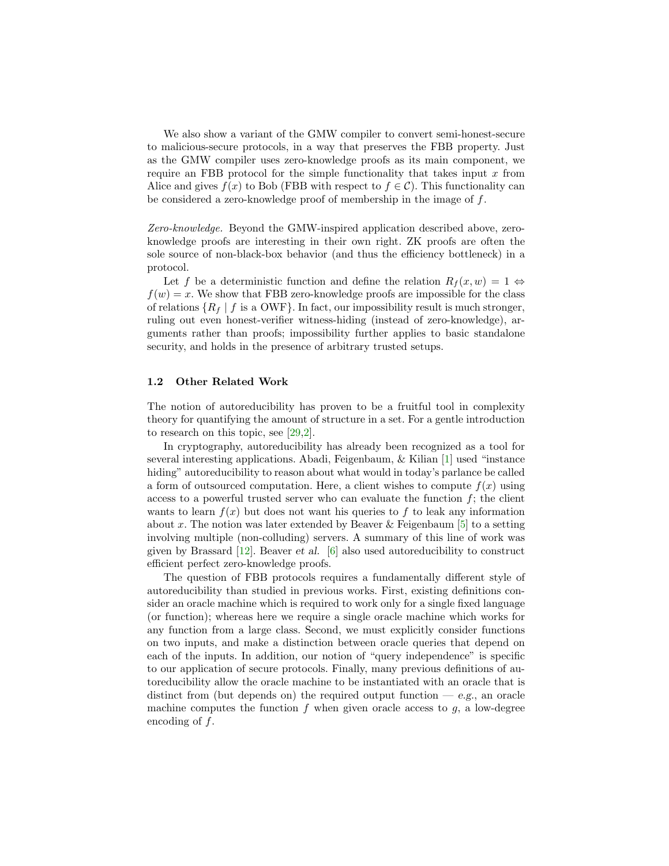We also show a variant of the GMW compiler to convert semi-honest-secure to malicious-secure protocols, in a way that preserves the FBB property. Just as the GMW compiler uses zero-knowledge proofs as its main component, we require an FBB protocol for the simple functionality that takes input  $x$  from Alice and gives  $f(x)$  to Bob (FBB with respect to  $f \in C$ ). This functionality can be considered a zero-knowledge proof of membership in the image of f.

Zero-knowledge. Beyond the GMW-inspired application described above, zeroknowledge proofs are interesting in their own right. ZK proofs are often the sole source of non-black-box behavior (and thus the efficiency bottleneck) in a protocol.

Let f be a deterministic function and define the relation  $R_f(x, w) = 1 \Leftrightarrow$  $f(w) = x$ . We show that FBB zero-knowledge proofs are impossible for the class of relations  ${R<sub>f</sub> | f$  is a OWF}. In fact, our impossibility result is much stronger, ruling out even honest-verifier witness-hiding (instead of zero-knowledge), arguments rather than proofs; impossibility further applies to basic standalone security, and holds in the presence of arbitrary trusted setups.

#### 1.2 Other Related Work

The notion of autoreducibility has proven to be a fruitful tool in complexity theory for quantifying the amount of structure in a set. For a gentle introduction to research on this topic, see [\[29](#page-17-14)[,2\]](#page-16-4).

In cryptography, autoreducibility has already been recognized as a tool for several interesting applications. Abadi, Feigenbaum, & Kilian [\[1\]](#page-16-5) used "instance hiding" autoreducibility to reason about what would in today's parlance be called a form of outsourced computation. Here, a client wishes to compute  $f(x)$  using access to a powerful trusted server who can evaluate the function  $f$ ; the client wants to learn  $f(x)$  but does not want his queries to f to leak any information about x. The notion was later extended by Beaver & Feigenbaum  $[5]$  to a setting involving multiple (non-colluding) servers. A summary of this line of work was given by Brassard [\[12\]](#page-16-6). Beaver et al. [\[6\]](#page-16-7) also used autoreducibility to construct efficient perfect zero-knowledge proofs.

The question of FBB protocols requires a fundamentally different style of autoreducibility than studied in previous works. First, existing definitions consider an oracle machine which is required to work only for a single fixed language (or function); whereas here we require a single oracle machine which works for any function from a large class. Second, we must explicitly consider functions on two inputs, and make a distinction between oracle queries that depend on each of the inputs. In addition, our notion of "query independence" is specific to our application of secure protocols. Finally, many previous definitions of autoreducibility allow the oracle machine to be instantiated with an oracle that is distinct from (but depends on) the required output function  $-e.g.,$  an oracle machine computes the function  $f$  when given oracle access to  $g$ , a low-degree encoding of f.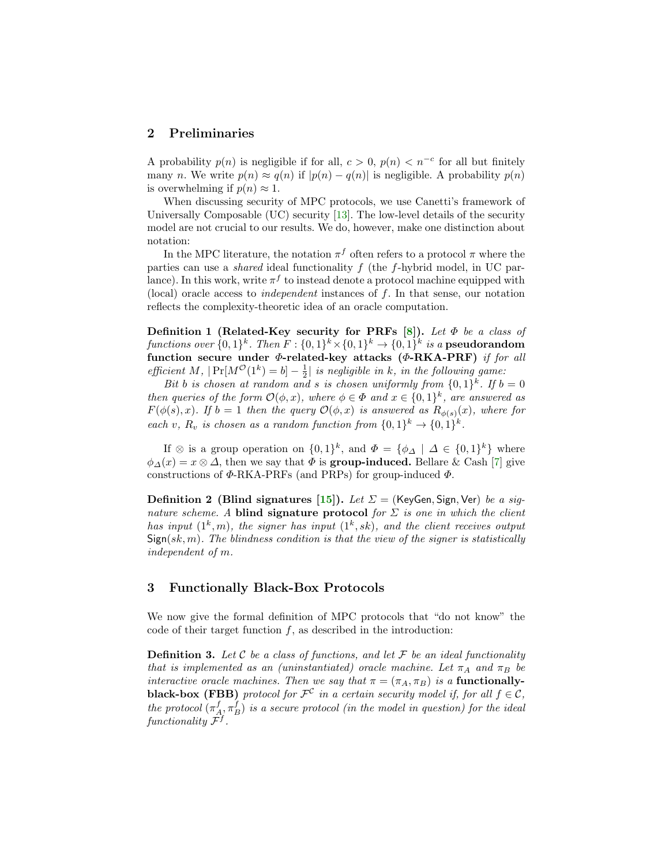# 2 Preliminaries

A probability  $p(n)$  is negligible if for all,  $c > 0$ ,  $p(n) < n^{-c}$  for all but finitely many n. We write  $p(n) \approx q(n)$  if  $|p(n) - q(n)|$  is negligible. A probability  $p(n)$ is overwhelming if  $p(n) \approx 1$ .

When discussing security of MPC protocols, we use Canetti's framework of Universally Composable (UC) security [\[13\]](#page-16-8). The low-level details of the security model are not crucial to our results. We do, however, make one distinction about notation:

In the MPC literature, the notation  $\pi^f$  often refers to a protocol  $\pi$  where the parties can use a shared ideal functionality f (the f-hybrid model, in UC parlance). In this work, write  $\pi^f$  to instead denote a protocol machine equipped with (local) oracle access to independent instances of f. In that sense, our notation reflects the complexity-theoretic idea of an oracle computation.

<span id="page-5-2"></span>Definition 1 (Related-Key security for PRFs  $[8]$ ). Let  $\Phi$  be a class of functions over  $\{0,1\}^k$ . Then  $F: \{0,1\}^k \times \{0,1\}^k \to \{0,1\}^k$  is a **pseudorandom** function secure under  $\Phi$ -related-key attacks ( $\Phi$ -RKA-PRF) if for all efficient M,  $|\Pr[M^{\mathcal{O}}(1^k) = b] - \frac{1}{2}|$  is negligible in k, in the following game:

Bit b is chosen at random and s is chosen uniformly from  $\{0,1\}^k$ . If  $b=0$ then queries of the form  $\mathcal{O}(\phi, x)$ , where  $\phi \in \Phi$  and  $x \in \{0, 1\}^k$ , are answered as  $F(\phi(s),x)$ . If  $b=1$  then the query  $\mathcal{O}(\phi,x)$  is answered as  $R_{\phi(s)}(x)$ , where for each v,  $R_v$  is chosen as a random function from  $\{0,1\}^k \to \{0,1\}^k$ .

If  $\otimes$  is a group operation on  $\{0,1\}^k$ , and  $\Phi = {\phi_{\Delta} \mid \Delta \in \{0,1\}^k}$  where  $\phi_{\Delta}(x) = x \otimes \Delta$ , then we say that  $\Phi$  is **group-induced.** Bellare & Cash [\[7\]](#page-16-10) give constructions of  $\Phi$ -RKA-PRFs (and PRPs) for group-induced  $\Phi$ .

<span id="page-5-1"></span>**Definition 2 (Blind signatures [\[15\]](#page-17-15)).** Let  $\Sigma$  = (KeyGen, Sign, Ver) be a signature scheme. A blind signature protocol for  $\Sigma$  is one in which the client has input  $(1^k, m)$ , the signer has input  $(1^k, sk)$ , and the client receives output  $Sign(sk, m)$ . The blindness condition is that the view of the signer is statistically independent of m.

## <span id="page-5-0"></span>3 Functionally Black-Box Protocols

We now give the formal definition of MPC protocols that "do not know" the code of their target function f, as described in the introduction:

**Definition 3.** Let  $C$  be a class of functions, and let  $\mathcal F$  be an ideal functionality that is implemented as an (uninstantiated) oracle machine. Let  $\pi_A$  and  $\pi_B$  be interactive oracle machines. Then we say that  $\pi = (\pi_A, \pi_B)$  is a functionallyblack-box (FBB) protocol for  $\mathcal{F}^{\mathcal{C}}$  in a certain security model if, for all  $f \in \mathcal{C}$ , the protocol  $(\pi_A^f, \pi_B^f)$  is a secure protocol (in the model in question) for the ideal functionality  $\mathcal{F}^f$ .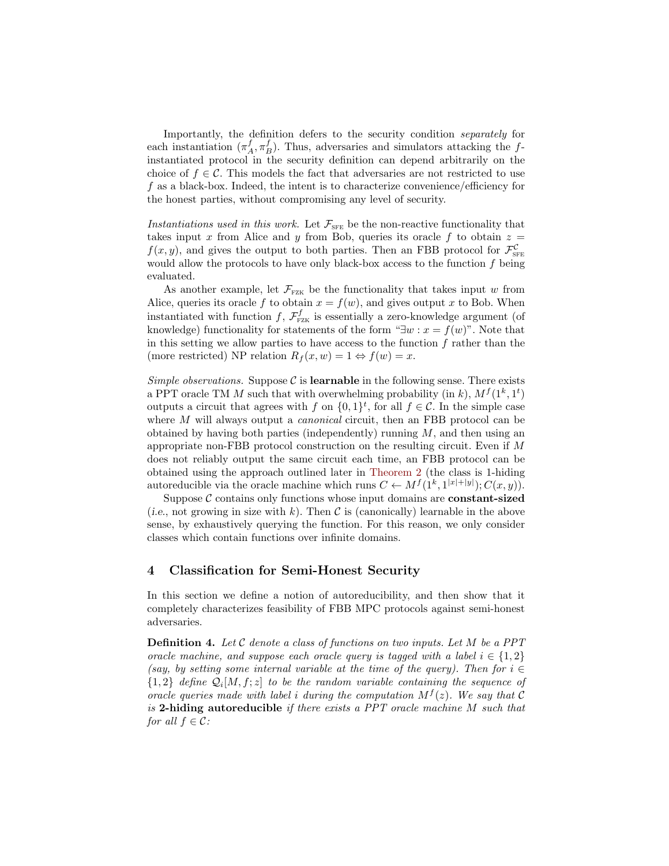Importantly, the definition defers to the security condition separately for each instantiation  $(\pi_A^f, \pi_B^f)$ . Thus, adversaries and simulators attacking the finstantiated protocol in the security definition can depend arbitrarily on the choice of  $f \in \mathcal{C}$ . This models the fact that adversaries are not restricted to use f as a black-box. Indeed, the intent is to characterize convenience/efficiency for the honest parties, without compromising any level of security.

Instantiations used in this work. Let  $\mathcal{F}_{\text{SFE}}$  be the non-reactive functionality that takes input x from Alice and y from Bob, queries its oracle f to obtain  $z =$  $f(x, y)$ , and gives the output to both parties. Then an FBB protocol for  $\mathcal{F}_{SFR}^{\mathcal{C}}$ would allow the protocols to have only black-box access to the function  $f$  being evaluated.

As another example, let  $\mathcal{F}_{\text{FZK}}$  be the functionality that takes input w from Alice, queries its oracle f to obtain  $x = f(w)$ , and gives output x to Bob. When instantiated with function  $f, \mathcal{F}_{\text{FZK}}^f$  is essentially a zero-knowledge argument (of knowledge) functionality for statements of the form " $\exists w : x = f(w)$ ". Note that in this setting we allow parties to have access to the function  $f$  rather than the (more restricted) NP relation  $R_f(x, w) = 1 \Leftrightarrow f(w) = x$ .

Simple observations. Suppose  $\mathcal C$  is **learnable** in the following sense. There exists a PPT oracle TM M such that with overwhelming probability (in k),  $M^{f}(1^k, 1^t)$ outputs a circuit that agrees with f on  $\{0,1\}^t$ , for all  $f \in \mathcal{C}$ . In the simple case where  $M$  will always output a *canonical* circuit, then an FBB protocol can be obtained by having both parties (independently) running  $M$ , and then using an appropriate non-FBB protocol construction on the resulting circuit. Even if M does not reliably output the same circuit each time, an FBB protocol can be obtained using the approach outlined later in [Theorem 2](#page-13-0) (the class is 1-hiding autoreducible via the oracle machine which runs  $C \leftarrow M^f(1^k, 1^{|x|+|y|}); C(x, y)).$ 

Suppose  $\mathcal C$  contains only functions whose input domains are **constant-sized** (i.e., not growing in size with k). Then  $\mathcal C$  is (canonically) learnable in the above sense, by exhaustively querying the function. For this reason, we only consider classes which contain functions over infinite domains.

## <span id="page-6-0"></span>4 Classification for Semi-Honest Security

In this section we define a notion of autoreducibility, and then show that it completely characterizes feasibility of FBB MPC protocols against semi-honest adversaries.

**Definition 4.** Let  $C$  denote a class of functions on two inputs. Let  $M$  be a PPT oracle machine, and suppose each oracle query is tagged with a label  $i \in \{1,2\}$ (say, by setting some internal variable at the time of the query). Then for  $i \in$  ${1, 2}$  define  $Q_i[M, f; z]$  to be the random variable containing the sequence of oracle queries made with label i during the computation  $M^f(z)$ . We say that C is 2-hiding autoreducible if there exists a PPT oracle machine M such that for all  $f \in \mathcal{C}$ :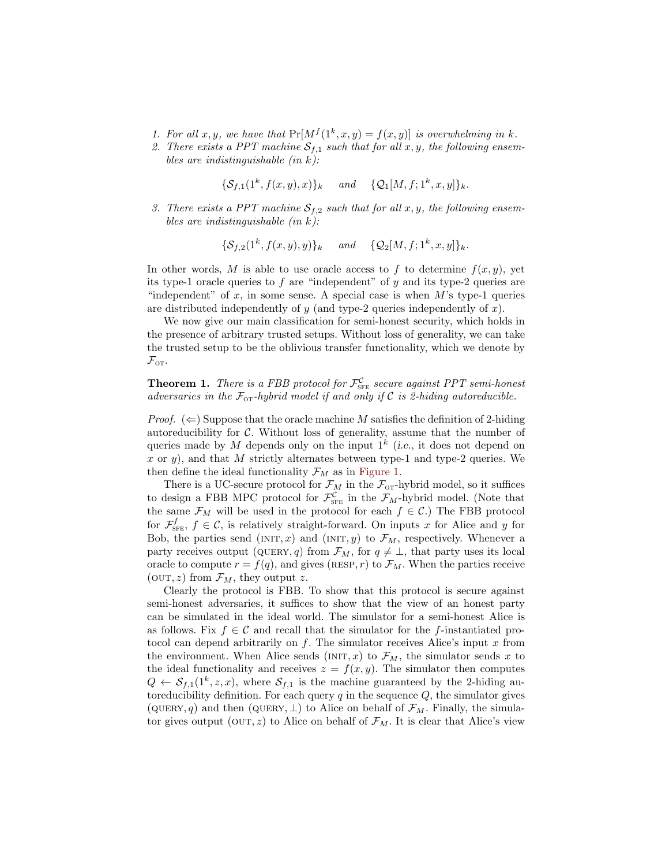- 1. For all x, y, we have that  $Pr[M^f(1^k, x, y) = f(x, y)]$  is overwhelming in k.
- 2. There exists a PPT machine  $S_{f,1}$  such that for all x, y, the following ensembles are indistinguishable (in  $k$ ):

$$
\{\mathcal{S}_{f,1}(1^k, f(x,y),x)\}_k \quad \text{and} \quad \{\mathcal{Q}_1[M,f;1^k,x,y]\}_k.
$$

3. There exists a PPT machine  $S_{f,2}$  such that for all x, y, the following ensembles are indistinguishable (in  $k$ ):

$$
\{\mathcal{S}_{f,2}(1^k, f(x,y),y)\}_k \quad \text{and} \quad \{\mathcal{Q}_2[M,f;1^k,x,y]\}_k.
$$

In other words, M is able to use oracle access to f to determine  $f(x, y)$ , yet its type-1 oracle queries to  $f$  are "independent" of  $y$  and its type-2 queries are "independent" of  $x$ , in some sense. A special case is when  $M$ 's type-1 queries are distributed independently of  $y$  (and type-2 queries independently of  $x$ ).

We now give our main classification for semi-honest security, which holds in the presence of arbitrary trusted setups. Without loss of generality, we can take the trusted setup to be the oblivious transfer functionality, which we denote by  $\mathcal{F}_{\text{\scriptsize{OT}}}$ .

<span id="page-7-0"></span>**Theorem 1.** There is a FBB protocol for  $\mathcal{F}_{\text{SFE}}^{\mathcal{C}}$  secure against PPT semi-honest adversaries in the  $\mathcal{F}_{\text{OT}}$ -hybrid model if and only if  $\mathcal C$  is 2-hiding autoreducible.

*Proof.*  $(\Leftarrow)$  Suppose that the oracle machine M satisfies the definition of 2-hiding autoreducibility for  $C$ . Without loss of generality, assume that the number of queries made by M depends only on the input  $1^k$  (*i.e.*, it does not depend on x or y), and that M strictly alternates between type-1 and type-2 queries. We then define the ideal functionality  $\mathcal{F}_M$  as in [Figure 1.](#page-8-0)

There is a UC-secure protocol for  $\mathcal{F}_M$  in the  $\mathcal{F}_{\text{or}}$ -hybrid model, so it suffices to design a FBB MPC protocol for  $\mathcal{F}_{SFE}^{\mathcal{C}}$  in the  $\mathcal{F}_{M}$ -hybrid model. (Note that the same  $\mathcal{F}_M$  will be used in the protocol for each  $f \in \mathcal{C}$ .) The FBB protocol for  $\mathcal{F}_{\text{SFE}}^f, f \in \mathcal{C}$ , is relatively straight-forward. On inputs x for Alice and y for Bob, the parties send (INIT, x) and (INIT, y) to  $\mathcal{F}_M$ , respectively. Whenever a party receives output (QUERY, q) from  $\mathcal{F}_M$ , for  $q \neq \perp$ , that party uses its local oracle to compute  $r = f(q)$ , and gives (RESP, r) to  $\mathcal{F}_M$ . When the parties receive (OUT, z) from  $\mathcal{F}_M$ , they output z.

Clearly the protocol is FBB. To show that this protocol is secure against semi-honest adversaries, it suffices to show that the view of an honest party can be simulated in the ideal world. The simulator for a semi-honest Alice is as follows. Fix  $f \in \mathcal{C}$  and recall that the simulator for the f-instantiated protocol can depend arbitrarily on  $f$ . The simulator receives Alice's input  $x$  from the environment. When Alice sends (INIT, x) to  $\mathcal{F}_M$ , the simulator sends x to the ideal functionality and receives  $z = f(x, y)$ . The simulator then computes  $Q \leftarrow S_{f,1}(1^k, z, x)$ , where  $S_{f,1}$  is the machine guaranteed by the 2-hiding autoreducibility definition. For each query  $q$  in the sequence  $Q$ , the simulator gives (QUERY, q) and then (QUERY,  $\perp$ ) to Alice on behalf of  $\mathcal{F}_M$ . Finally, the simulator gives output (OUT, z) to Alice on behalf of  $\mathcal{F}_M$ . It is clear that Alice's view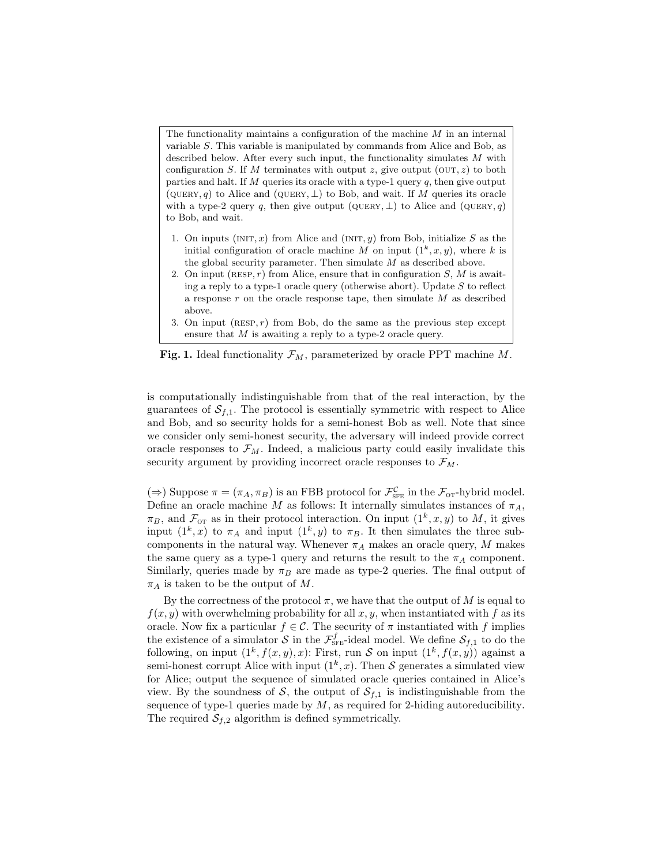The functionality maintains a configuration of the machine  $M$  in an internal variable S. This variable is manipulated by commands from Alice and Bob, as described below. After every such input, the functionality simulates M with configuration S. If M terminates with output z, give output (OUT, z) to both parties and halt. If M queries its oracle with a type-1 query  $q$ , then give output (QUERY, q) to Alice and (QUERY,  $\perp$ ) to Bob, and wait. If M queries its oracle with a type-2 query q, then give output (QUERY,  $\perp$ ) to Alice and (QUERY, q) to Bob, and wait.

- 1. On inputs (INIT, x) from Alice and (INIT, y) from Bob, initialize S as the initial configuration of oracle machine M on input  $(1^k, x, y)$ , where k is the global security parameter. Then simulate  $M$  as described above.
- 2. On input (RESP, r) from Alice, ensure that in configuration  $S, M$  is awaiting a reply to a type-1 oracle query (otherwise abort). Update  $S$  to reflect a response  $r$  on the oracle response tape, then simulate  $M$  as described above.
- 3. On input  $(\text{RESP}, r)$  from Bob, do the same as the previous step except ensure that  $M$  is awaiting a reply to a type-2 oracle query.

<span id="page-8-0"></span>Fig. 1. Ideal functionality  $\mathcal{F}_M$ , parameterized by oracle PPT machine M.

is computationally indistinguishable from that of the real interaction, by the guarantees of  $S_{f,1}$ . The protocol is essentially symmetric with respect to Alice and Bob, and so security holds for a semi-honest Bob as well. Note that since we consider only semi-honest security, the adversary will indeed provide correct oracle responses to  $\mathcal{F}_M$ . Indeed, a malicious party could easily invalidate this security argument by providing incorrect oracle responses to  $\mathcal{F}_M$ .

 $(\Rightarrow)$  Suppose  $\pi = (\pi_A, \pi_B)$  is an FBB protocol for  $\mathcal{F}_{\text{SFE}}^{\mathcal{C}}$  in the  $\mathcal{F}_{\text{OT}}$ -hybrid model. Define an oracle machine M as follows: It internally simulates instances of  $\pi_A$ ,  $\pi_B$ , and  $\mathcal{F}_{\text{OT}}$  as in their protocol interaction. On input  $(1^k, x, y)$  to M, it gives input  $(1^k, x)$  to  $\pi_A$  and input  $(1^k, y)$  to  $\pi_B$ . It then simulates the three subcomponents in the natural way. Whenever  $\pi_A$  makes an oracle query, M makes the same query as a type-1 query and returns the result to the  $\pi_A$  component. Similarly, queries made by  $\pi_B$  are made as type-2 queries. The final output of  $\pi_A$  is taken to be the output of M.

By the correctness of the protocol  $\pi$ , we have that the output of M is equal to  $f(x, y)$  with overwhelming probability for all  $x, y$ , when instantiated with f as its oracle. Now fix a particular  $f \in \mathcal{C}$ . The security of  $\pi$  instantiated with f implies the existence of a simulator S in the  $\mathcal{F}^f_{\text{SFE}}$ -ideal model. We define  $\mathcal{S}_{f,1}$  to do the following, on input  $(1^k, f(x, y), x)$ : First, run S on input  $(1^k, f(x, y))$  against a semi-honest corrupt Alice with input  $(1^k, x)$ . Then S generates a simulated view for Alice; output the sequence of simulated oracle queries contained in Alice's view. By the soundness of S, the output of  $S_{f,1}$  is indistinguishable from the sequence of type-1 queries made by  $M$ , as required for 2-hiding autoreducibility. The required  $S_{f,2}$  algorithm is defined symmetrically.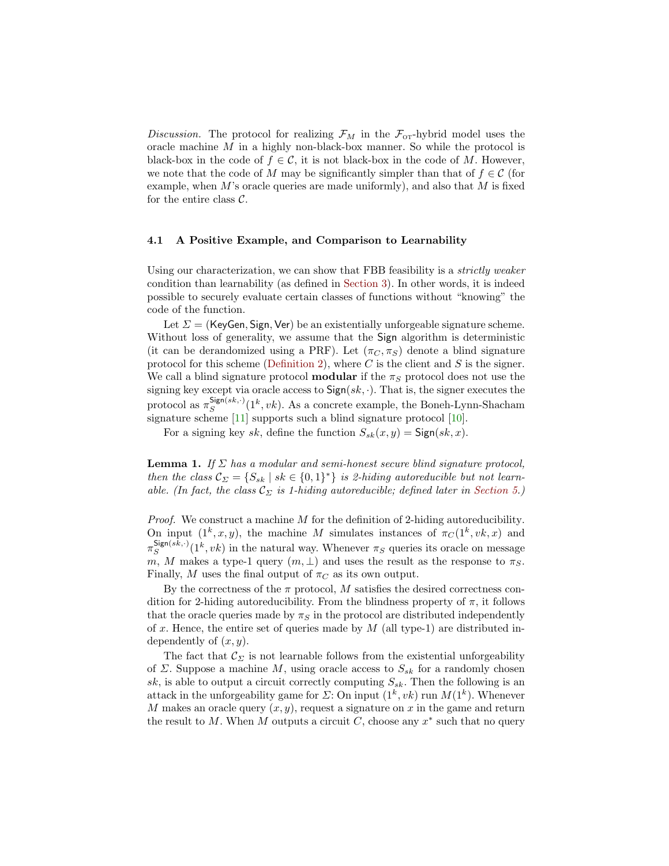Discussion. The protocol for realizing  $\mathcal{F}_M$  in the  $\mathcal{F}_{\text{OT}}$ -hybrid model uses the oracle machine M in a highly non-black-box manner. So while the protocol is black-box in the code of  $f \in \mathcal{C}$ , it is not black-box in the code of M. However, we note that the code of M may be significantly simpler than that of  $f \in \mathcal{C}$  (for example, when  $M$ 's oracle queries are made uniformly), and also that  $M$  is fixed for the entire class  $\mathcal{C}$ .

#### 4.1 A Positive Example, and Comparison to Learnability

Using our characterization, we can show that FBB feasibility is a strictly weaker condition than learnability (as defined in [Section 3\)](#page-5-0). In other words, it is indeed possible to securely evaluate certain classes of functions without "knowing" the code of the function.

Let  $\Sigma =$  (KeyGen, Sign, Ver) be an existentially unforgeable signature scheme. Without loss of generality, we assume that the Sign algorithm is deterministic (it can be derandomized using a PRF). Let  $(\pi_C, \pi_S)$  denote a blind signature protocol for this scheme [\(Definition 2\)](#page-5-1), where  $C$  is the client and  $S$  is the signer. We call a blind signature protocol **modular** if the  $\pi_S$  protocol does not use the signing key except via oracle access to  $Sign(sk, \cdot)$ . That is, the signer executes the protocol as  $\pi_S^{\mathsf{Sign}(sk,\cdot)}$  $S_S^{\text{Lsgn}(sk,\cdot)}(1^k, vk)$ . As a concrete example, the Boneh-Lynn-Shacham signature scheme [\[11\]](#page-16-11) supports such a blind signature protocol [\[10\]](#page-16-12).

For a signing key sk, define the function  $S_{sk}(x, y) = \mathsf{Sign}(sk, x)$ .

**Lemma 1.** If  $\Sigma$  has a modular and semi-honest secure blind signature protocol, then the class  $\mathcal{C}_{\Sigma} = \{S_{sk} \mid sk \in \{0,1\}^*\}$  is 2-hiding autoreducible but not learnable. (In fact, the class  $\mathcal{C}_{\Sigma}$  is 1-hiding autoreducible; defined later in [Section 5.](#page-12-0))

*Proof.* We construct a machine M for the definition of 2-hiding autoreducibility. On input  $(1^k, x, y)$ , the machine M simulates instances of  $\pi_C(1^k, vk, x)$  and  $\pi_S^{\mathsf{Sign}(sk,\cdot)}$  $\mathcal{S}_{S}^{\text{Lspn}(sk,\cdot)}(1^k, vk)$  in the natural way. Whenever  $\pi_S$  queries its oracle on message m, M makes a type-1 query  $(m, \perp)$  and uses the result as the response to  $\pi_S$ . Finally, M uses the final output of  $\pi_{\mathcal{C}}$  as its own output.

By the correctness of the  $\pi$  protocol, M satisfies the desired correctness condition for 2-hiding autoreducibility. From the blindness property of  $\pi$ , it follows that the oracle queries made by  $\pi_S$  in the protocol are distributed independently of x. Hence, the entire set of queries made by  $M$  (all type-1) are distributed independently of  $(x, y)$ .

The fact that  $\mathcal{C}_{\Sigma}$  is not learnable follows from the existential unforgeability of  $\Sigma$ . Suppose a machine M, using oracle access to  $S_{sk}$  for a randomly chosen sk, is able to output a circuit correctly computing  $S_{sk}$ . Then the following is an attack in the unforgeability game for  $\Sigma$ : On input  $(1^k, vk)$  run  $M(1^k)$ . Whenever M makes an oracle query  $(x, y)$ , request a signature on x in the game and return the result to M. When M outputs a circuit C, choose any  $x^*$  such that no query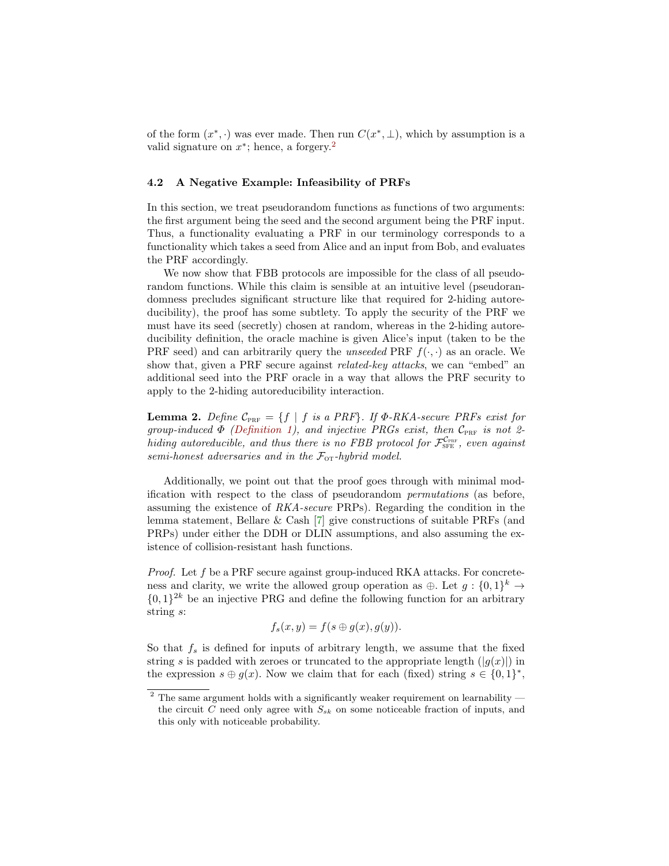of the form  $(x^*, \cdot)$  was ever made. Then run  $C(x^*, \perp)$ , which by assumption is a valid signature on  $x^*$ ; hence, a forgery.<sup>[2](#page-10-0)</sup>

#### 4.2 A Negative Example: Infeasibility of PRFs

In this section, we treat pseudorandom functions as functions of two arguments: the first argument being the seed and the second argument being the PRF input. Thus, a functionality evaluating a PRF in our terminology corresponds to a functionality which takes a seed from Alice and an input from Bob, and evaluates the PRF accordingly.

We now show that FBB protocols are impossible for the class of all pseudorandom functions. While this claim is sensible at an intuitive level (pseudorandomness precludes significant structure like that required for 2-hiding autoreducibility), the proof has some subtlety. To apply the security of the PRF we must have its seed (secretly) chosen at random, whereas in the 2-hiding autoreducibility definition, the oracle machine is given Alice's input (taken to be the PRF seed) and can arbitrarily query the *unseeded* PRF  $f(\cdot, \cdot)$  as an oracle. We show that, given a PRF secure against *related-key attacks*, we can "embed" an additional seed into the PRF oracle in a way that allows the PRF security to apply to the 2-hiding autoreducibility interaction.

**Lemma 2.** Define  $C_{\text{PRF}} = \{f \mid f \text{ is a } PRF\}$ . If  $\Phi$ -RKA-secure PRFs exist for group-induced  $\Phi$  [\(Definition 1\)](#page-5-2), and injective PRGs exist, then  $\mathcal{C}_{\text{PRF}}$  is not 2hiding autoreducible, and thus there is no FBB protocol for  $\mathcal{F}_{\rm SFE}^{\rm C_{\rm PRF}}$ , even against semi-honest adversaries and in the  $\mathcal{F}_{\text{OT}}$ -hybrid model.

Additionally, we point out that the proof goes through with minimal modification with respect to the class of pseudorandom permutations (as before, assuming the existence of RKA-secure PRPs). Regarding the condition in the lemma statement, Bellare & Cash [\[7\]](#page-16-10) give constructions of suitable PRFs (and PRPs) under either the DDH or DLIN assumptions, and also assuming the existence of collision-resistant hash functions.

*Proof.* Let  $f$  be a PRF secure against group-induced RKA attacks. For concreteness and clarity, we write the allowed group operation as  $\oplus$ . Let  $g: \{0,1\}^k \to$  $\{0,1\}^{2k}$  be an injective PRG and define the following function for an arbitrary string s:

$$
f_s(x, y) = f(s \oplus g(x), g(y)).
$$

So that  $f_s$  is defined for inputs of arbitrary length, we assume that the fixed string s is padded with zeroes or truncated to the appropriate length  $(|g(x)|)$  in the expression  $s \oplus g(x)$ . Now we claim that for each (fixed) string  $s \in \{0,1\}^*$ ,

<span id="page-10-0"></span> $^{\rm 2}$  The same argument holds with a significantly weaker requirement on learnability  $$ the circuit  $C$  need only agree with  $S_{sk}$  on some noticeable fraction of inputs, and this only with noticeable probability.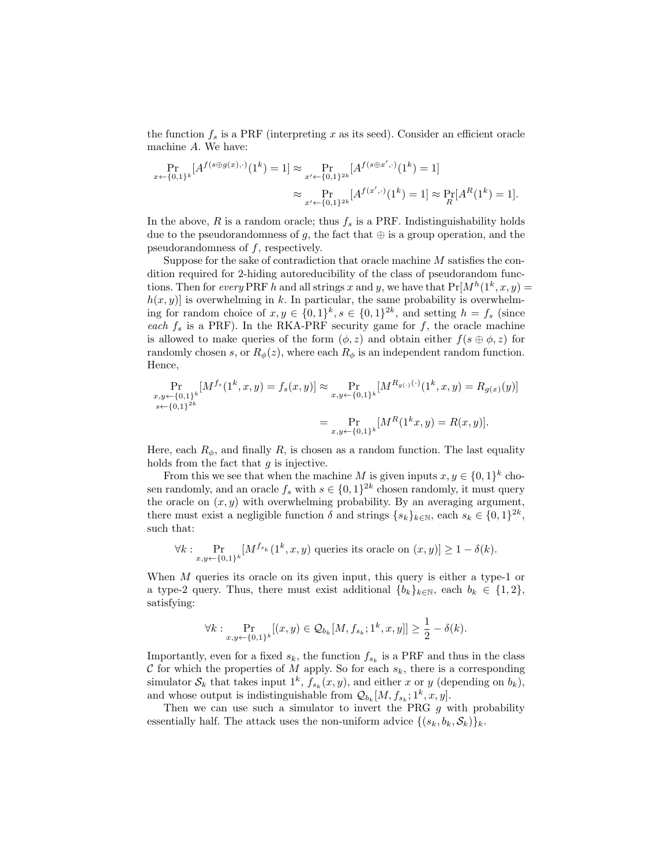the function  $f_s$  is a PRF (interpreting x as its seed). Consider an efficient oracle machine A. We have:

$$
\Pr_{x \leftarrow \{0,1\}^k} [A^{f(s \oplus g(x), \cdot)}(1^k) = 1] \approx \Pr_{x' \leftarrow \{0,1\}^{2k}} [A^{f(s \oplus x', \cdot)}(1^k) = 1]
$$

$$
\approx \Pr_{x' \leftarrow \{0,1\}^{2k}} [A^{f(x', \cdot)}(1^k) = 1] \approx \Pr_{R} [A^R(1^k) = 1].
$$

In the above, R is a random oracle; thus  $f_s$  is a PRF. Indistinguishability holds due to the pseudorandomness of g, the fact that  $\oplus$  is a group operation, and the pseudorandomness of f, respectively.

Suppose for the sake of contradiction that oracle machine  $M$  satisfies the condition required for 2-hiding autoreducibility of the class of pseudorandom functions. Then for every PRF h and all strings x and y, we have that  $Pr[M^h(1^k, x, y)] =$  $h(x, y)$  is overwhelming in k. In particular, the same probability is overwhelming for random choice of  $x, y \in \{0,1\}^k, s \in \{0,1\}^{2k}$ , and setting  $h = f_s$  (since each  $f_s$  is a PRF). In the RKA-PRF security game for f, the oracle machine is allowed to make queries of the form  $(\phi, z)$  and obtain either  $f(s \oplus \phi, z)$  for randomly chosen s, or  $R_{\phi}(z)$ , where each  $R_{\phi}$  is an independent random function. Hence,

$$
\Pr_{\substack{x,y \leftarrow \{0,1\}^k \\ s \leftarrow \{0,1\}^{2k}}} [M^{f_s}(1^k, x, y) = f_s(x, y)] \approx \Pr_{\substack{x,y \leftarrow \{0,1\}^k \\ s \leftarrow \{0,1\}^{2k}}} [M^{R_{g(\cdot)}(\cdot)}(1^k, x, y) = R_{g(x)}(y)]
$$
\n
$$
= \Pr_{\substack{x,y \leftarrow \{0,1\}^k}} [M^R(1^k x, y) = R(x, y)].
$$

Here, each  $R_{\phi}$ , and finally R, is chosen as a random function. The last equality holds from the fact that  $g$  is injective.

From this we see that when the machine M is given inputs  $x, y \in \{0, 1\}^k$  chosen randomly, and an oracle  $f_s$  with  $s \in \{0,1\}^{2k}$  chosen randomly, it must query the oracle on  $(x, y)$  with overwhelming probability. By an averaging argument, there must exist a negligible function  $\delta$  and strings  $\{s_k\}_{k\in\mathbb{N}}$ , each  $s_k \in \{0,1\}^{2k}$ , such that:

$$
\forall k : \Pr_{x,y \leftarrow \{0,1\}^k} [M^{f_{s_k}}(1^k, x, y) \text{ queries its oracle on } (x, y)] \ge 1 - \delta(k).
$$

When  $M$  queries its oracle on its given input, this query is either a type-1 or a type-2 query. Thus, there must exist additional  ${b_k}_{k\in\mathbb{N}}$ , each  $b_k \in \{1,2\}$ , satisfying:

$$
\forall k : \Pr_{x,y \leftarrow \{0,1\}^k} [(x,y) \in \mathcal{Q}_{b_k}[M, f_{s_k}; 1^k, x, y]] \geq \frac{1}{2} - \delta(k).
$$

Importantly, even for a fixed  $s_k$ , the function  $f_{s_k}$  is a PRF and thus in the class C for which the properties of M apply. So for each  $s_k$ , there is a corresponding simulator  $S_k$  that takes input  $1^k$ ,  $f_{s_k}(x, y)$ , and either x or y (depending on  $b_k$ ), and whose output is indistinguishable from  $\mathcal{Q}_{b_k}[M, f_{s_k}; 1^k, x, y]$ .

Then we can use such a simulator to invert the PRG  $g$  with probability essentially half. The attack uses the non-uniform advice  $\{(s_k, b_k, S_k)\}_k$ .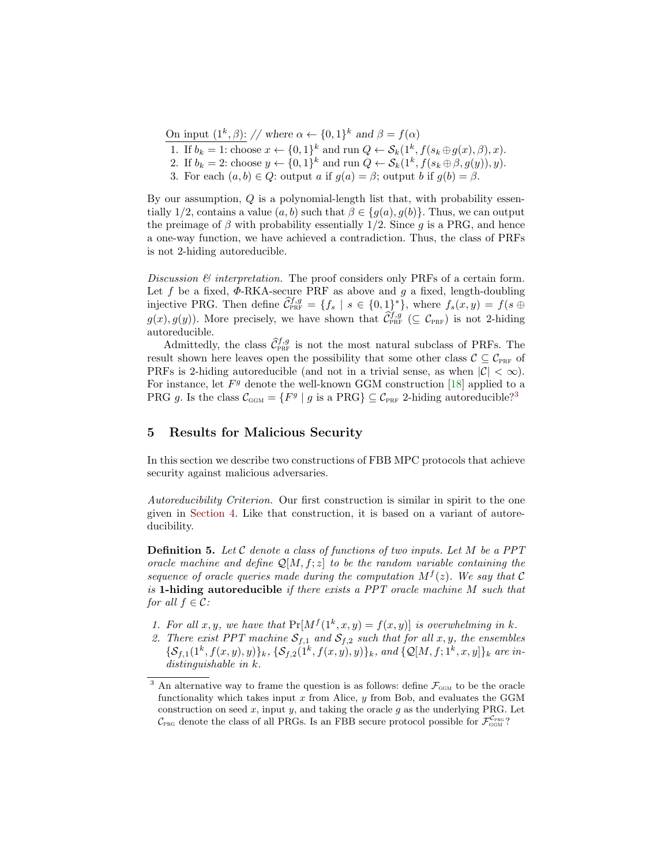On input  $(1^k, \beta)$ : // where  $\alpha \leftarrow \{0, 1\}^k$  and  $\beta = f(\alpha)$ 

- 1. If  $b_k = 1$ : choose  $x \leftarrow \{0,1\}^k$  and run  $Q \leftarrow \mathcal{S}_k(1^k, f(s_k \oplus g(x), \beta), x)$ .
- 2. If  $b_k = 2$ : choose  $y \leftarrow \{0,1\}^k$  and run  $Q \leftarrow \mathcal{S}_k(1^k, f(s_k \oplus \beta, g(y)), y)$ .
- 3. For each  $(a, b) \in Q$ : output a if  $q(a) = \beta$ ; output b if  $q(b) = \beta$ .

By our assumption, Q is a polynomial-length list that, with probability essentially 1/2, contains a value  $(a, b)$  such that  $\beta \in \{q(a), q(b)\}\$ . Thus, we can output the preimage of  $\beta$  with probability essentially 1/2. Since q is a PRG, and hence a one-way function, we have achieved a contradiction. Thus, the class of PRFs is not 2-hiding autoreducible.

Discussion  $\mathcal{B}$  interpretation. The proof considers only PRFs of a certain form. Let f be a fixed,  $\Phi$ -RKA-secure PRF as above and g a fixed, length-doubling injective PRG. Then define  $\hat{C}_{\text{PRF}}^{f,g} = \{f_s \mid s \in \{0,1\}^*\}$ , where  $f_s(x,y) = f(s \oplus$  $g(x), g(y)$ ). More precisely, we have shown that  $\hat{C}_{PRF}^{f,g}$  ( $\subseteq \mathcal{C}_{PRF}$ ) is not 2-hiding autoreducible.

Admittedly, the class  $\hat{C}_{\text{PRF}}^{f,g}$  is not the most natural subclass of PRFs. The result shown here leaves open the possibility that some other class  $\mathcal{C} \subseteq \mathcal{C}_{\text{PRF}}$  of PRFs is 2-hiding autoreducible (and not in a trivial sense, as when  $|\mathcal{C}| < \infty$ ). For instance, let  $F<sup>g</sup>$  denote the well-known GGM construction [\[18\]](#page-17-16) applied to a PRG g. Is the class  $\mathcal{C}_{\text{GGM}} = \{F^g \mid g \text{ is a PRG}\}\subseteq \mathcal{C}_{\text{PRF}}$  2-hiding autoreducible?<sup>[3](#page-12-1)</sup>

### <span id="page-12-0"></span>5 Results for Malicious Security

In this section we describe two constructions of FBB MPC protocols that achieve security against malicious adversaries.

Autoreducibility Criterion. Our first construction is similar in spirit to the one given in [Section 4.](#page-6-0) Like that construction, it is based on a variant of autoreducibility.

<span id="page-12-2"></span>**Definition 5.** Let  $C$  denote a class of functions of two inputs. Let  $M$  be a PPT oracle machine and define  $\mathcal{Q}[M, f; z]$  to be the random variable containing the sequence of oracle queries made during the computation  $M^f(z)$ . We say that C is 1-hiding autoreducible if there exists a PPT oracle machine M such that for all  $f \in \mathcal{C}$ :

- 1. For all x, y, we have that  $Pr[M^f(1^k, x, y) = f(x, y)]$  is overwhelming in k.
- 2. There exist PPT machine  $S_{f,1}$  and  $S_{f,2}$  such that for all x, y, the ensembles  $\{\mathcal{S}_{f,1}(1^k,f(x,y),y)\}_k, \{\mathcal{S}_{f,2}(1^k,f(x,y),y)\}_k$ , and  $\{\mathcal{Q}[M,f;1^k,x,y]\}_k$  are indistinguishable in k.

<span id="page-12-1"></span><sup>&</sup>lt;sup>3</sup> An alternative way to frame the question is as follows: define  $\mathcal{F}_{\text{\tiny GGM}}$  to be the oracle functionality which takes input  $x$  from Alice,  $y$  from Bob, and evaluates the GGM construction on seed x, input y, and taking the oracle  $g$  as the underlying PRG. Let  $\mathcal{C}_{\text{\tiny PRG}}$  denote the class of all PRGs. Is an FBB secure protocol possible for  $\mathcal{F}_{\text{\tiny GGM}}^{\mathcal{C}_{\text{\tiny PRG}}}$ ?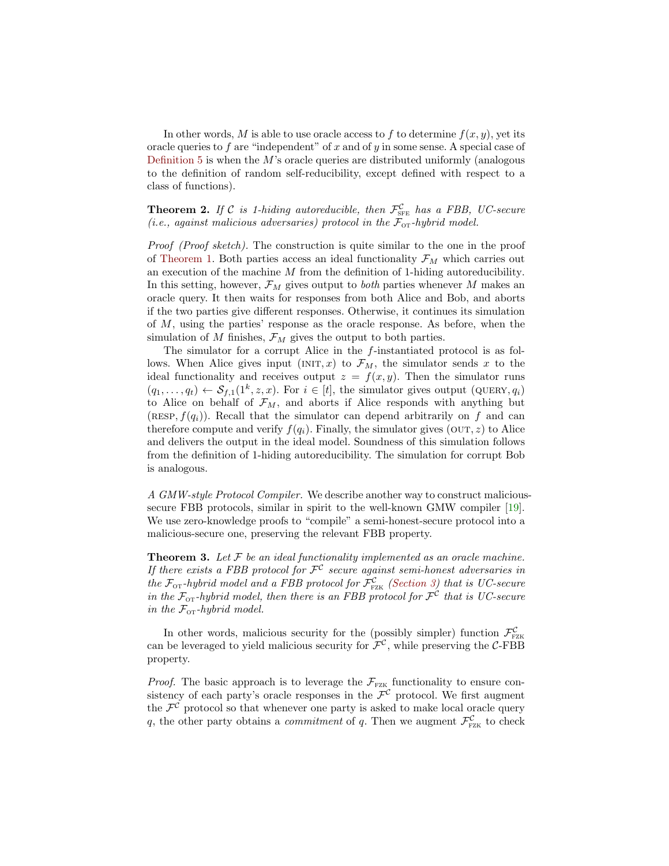In other words, M is able to use oracle access to f to determine  $f(x, y)$ , yet its oracle queries to f are "independent" of x and of y in some sense. A special case of [Definition 5](#page-12-2) is when the  $M$ 's oracle queries are distributed uniformly (analogous to the definition of random self-reducibility, except defined with respect to a class of functions).

<span id="page-13-0"></span>**Theorem 2.** If C is 1-hiding autoreducible, then  $\mathcal{F}_{\text{SFE}}^{\mathcal{C}}$  has a FBB, UC-secure (i.e., against malicious adversaries) protocol in the  $\mathcal{F}_{\text{OT}}$ -hybrid model.

Proof (Proof sketch). The construction is quite similar to the one in the proof of [Theorem 1.](#page-7-0) Both parties access an ideal functionality  $\mathcal{F}_M$  which carries out an execution of the machine M from the definition of 1-hiding autoreducibility. In this setting, however,  $\mathcal{F}_M$  gives output to *both* parties whenever M makes an oracle query. It then waits for responses from both Alice and Bob, and aborts if the two parties give different responses. Otherwise, it continues its simulation of M, using the parties' response as the oracle response. As before, when the simulation of M finishes,  $\mathcal{F}_M$  gives the output to both parties.

The simulator for a corrupt Alice in the  $f$ -instantiated protocol is as follows. When Alice gives input (INIT, x) to  $\mathcal{F}_M$ , the simulator sends x to the ideal functionality and receives output  $z = f(x, y)$ . Then the simulator runs  $(q_1,\ldots,q_t) \leftarrow \mathcal{S}_{f,1}(1^k,z,x)$ . For  $i \in [t]$ , the simulator gives output (QUERY,  $q_i$ ) to Alice on behalf of  $\mathcal{F}_M$ , and aborts if Alice responds with anything but (RESP,  $f(q_i)$ ). Recall that the simulator can depend arbitrarily on f and can therefore compute and verify  $f(q_i)$ . Finally, the simulator gives (OUT, z) to Alice and delivers the output in the ideal model. Soundness of this simulation follows from the definition of 1-hiding autoreducibility. The simulation for corrupt Bob is analogous.

A GMW-style Protocol Compiler. We describe another way to construct malicioussecure FBB protocols, similar in spirit to the well-known GMW compiler [\[19\]](#page-17-7). We use zero-knowledge proofs to "compile" a semi-honest-secure protocol into a malicious-secure one, preserving the relevant FBB property.

**Theorem 3.** Let  $\mathcal F$  be an ideal functionality implemented as an oracle machine. If there exists a FBB protocol for  $\mathcal{F}^{\mathcal{C}}$  secure against semi-honest adversaries in the  $\mathcal{F}_{\text{OT}}$ -hybrid model and a FBB protocol for  $\mathcal{F}_{\text{FZK}}^{\mathcal{C}}$  [\(Section 3\)](#page-5-0) that is UC-secure in the  $\mathcal{F}_{\text{OT}}$ -hybrid model, then there is an FBB protocol for  $\mathcal{F}^{\mathcal{C}}$  that is UC-secure in the  $\mathcal{F}_{\text{OT}}$ -hybrid model.

In other words, malicious security for the (possibly simpler) function  $\mathcal{F}_{\text{FZK}}^{\mathcal{C}}$ can be leveraged to yield malicious security for  $\mathcal{F}^{\mathcal{C}}$ , while preserving the C-FBB property.

*Proof.* The basic approach is to leverage the  $\mathcal{F}_{\text{FZK}}$  functionality to ensure consistency of each party's oracle responses in the  $\mathcal{F}^{\mathcal{C}}$  protocol. We first augment the  $\mathcal{F}^{\mathcal{C}}$  protocol so that whenever one party is asked to make local oracle query q, the other party obtains a *commitment* of q. Then we augment  $\mathcal{F}^{\mathcal{C}}_{\text{FZK}}$  to check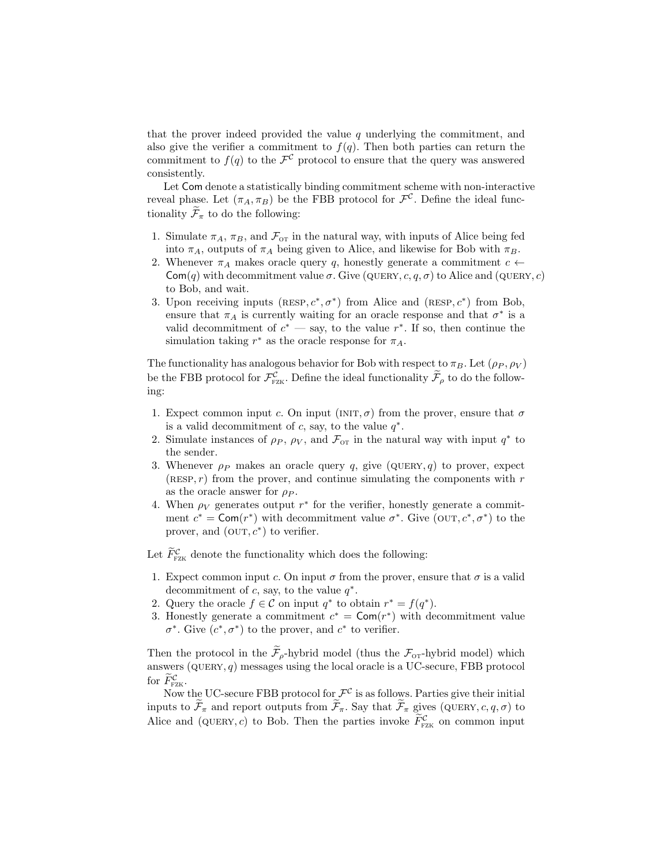that the prover indeed provided the value  $q$  underlying the commitment, and also give the verifier a commitment to  $f(q)$ . Then both parties can return the commitment to  $f(q)$  to the  $\mathcal{F}^{\mathcal{C}}$  protocol to ensure that the query was answered consistently.

Let Com denote a statistically binding commitment scheme with non-interactive reveal phase. Let  $(\pi_A, \pi_B)$  be the FBB protocol for  $\mathcal{F}^{\mathcal{C}}$ . Define the ideal functionality  $\widetilde{\mathcal{F}}_{\pi}$  to do the following:

- 1. Simulate  $\pi_A$ ,  $\pi_B$ , and  $\mathcal{F}_{\text{OT}}$  in the natural way, with inputs of Alice being fed into  $\pi_A$ , outputs of  $\pi_A$  being given to Alice, and likewise for Bob with  $\pi_B$ .
- 2. Whenever  $\pi_A$  makes oracle query q, honestly generate a commitment  $c \leftarrow$  $\mathsf{Com}(q)$  with decommitment value  $\sigma$ . Give (QUERY, c, q,  $\sigma$ ) to Alice and (QUERY, c) to Bob, and wait.
- 3. Upon receiving inputs  $(RESP, c^*, \sigma^*)$  from Alice and  $(RESP, c^*)$  from Bob, ensure that  $\pi_A$  is currently waiting for an oracle response and that  $\sigma^*$  is a valid decommitment of  $c^*$  — say, to the value  $r^*$ . If so, then continue the simulation taking  $r^*$  as the oracle response for  $\pi_A$ .

The functionality has analogous behavior for Bob with respect to  $\pi_B$ . Let  $(\rho_P, \rho_V)$ be the FBB protocol for  $\mathcal{F}_{\text{FZK}}^{\mathcal{C}}$ . Define the ideal functionality  $\widetilde{\mathcal{F}}_{\rho}$  to do the following:

- 1. Expect common input c. On input (INIT,  $\sigma$ ) from the prover, ensure that  $\sigma$ is a valid decommitment of  $c$ , say, to the value  $q^*$ .
- 2. Simulate instances of  $\rho_P$ ,  $\rho_V$ , and  $\mathcal{F}_{\text{OT}}$  in the natural way with input  $q^*$  to the sender.
- 3. Whenever  $\rho_P$  makes an oracle query q, give (QUERY, q) to prover, expect  $(\text{RESP}, r)$  from the prover, and continue simulating the components with r as the oracle answer for  $\rho_P$ .
- 4. When  $\rho_V$  generates output  $r^*$  for the verifier, honestly generate a commitment  $c^* = \textsf{Com}(r^*)$  with decommitment value  $\sigma^*$ . Give  $(\text{OUT}, c^*, \sigma^*)$  to the prover, and  $(Our, c^*)$  to verifier.
- Let  $\widetilde{F}_{\text{FZK}}^{\mathcal{C}}$  denote the functionality which does the following:
- 1. Expect common input c. On input  $\sigma$  from the prover, ensure that  $\sigma$  is a valid decommitment of c, say, to the value  $q^*$ .
- 2. Query the oracle  $f \in \mathcal{C}$  on input  $q^*$  to obtain  $r^* = f(q^*)$ .
- 3. Honestly generate a commitment  $c^* = \text{Com}(r^*)$  with decommitment value  $\sigma^*$ . Give  $(c^*, \sigma^*)$  to the prover, and  $c^*$  to verifier.

Then the protocol in the  $\widetilde{\mathcal{F}}_{\rho}$ -hybrid model (thus the  $\mathcal{F}_{\text{or}}$ -hybrid model) which answers  $(\text{QUERY}, q)$  messages using the local oracle is a UC-secure, FBB protocol for  $\widetilde{F}_{\text{\tiny FZK}}^{\mathcal{C}}$ .

Now the UC-secure FBB protocol for  $\mathcal{F}^{\mathcal{C}}$  is as follows. Parties give their initial inputs to  $\widetilde{\mathcal{F}}_{\pi}$  and report outputs from  $\widetilde{\mathcal{F}}_{\pi}$ . Say that  $\widetilde{\mathcal{F}}_{\pi}$  gives (QUERY,  $c, q, \sigma$ ) to Alice and (QUERY, c) to Bob. Then the parties invoke  $\widetilde{F}_{\text{FZK}}^{\mathcal{C}}$  on common input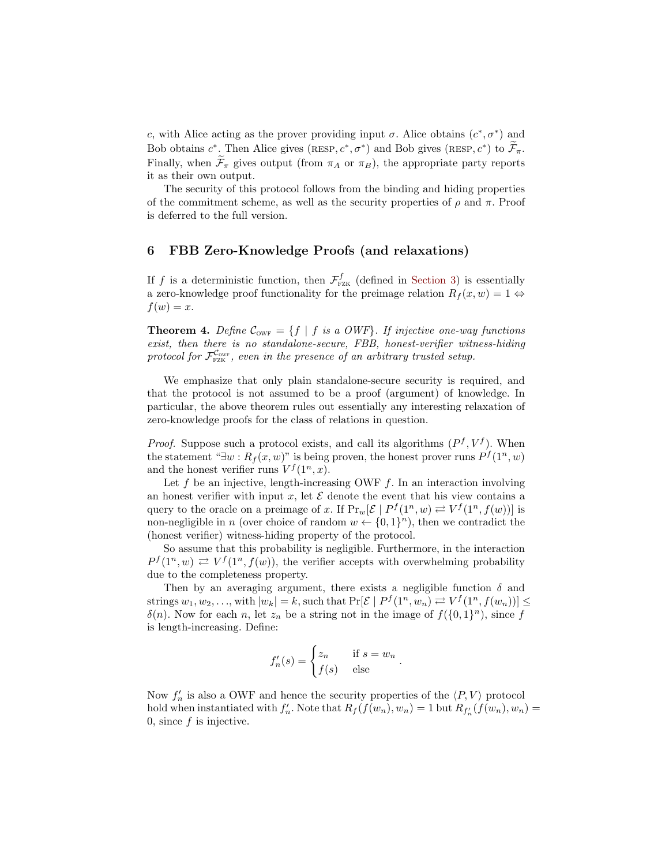c, with Alice acting as the prover providing input  $\sigma$ . Alice obtains  $(c^*, \sigma^*)$  and Bob obtains  $c^*$ . Then Alice gives (RESP,  $c^*, \sigma^*$ ) and Bob gives (RESP,  $c^*$ ) to  $\widetilde{\mathcal{F}}_{\pi}$ . Finally, when  $\mathcal{F}_{\pi}$  gives output (from  $\pi_A$  or  $\pi_B$ ), the appropriate party reports it as their own output.

The security of this protocol follows from the binding and hiding properties of the commitment scheme, as well as the security properties of  $\rho$  and  $\pi$ . Proof is deferred to the full version.

## 6 FBB Zero-Knowledge Proofs (and relaxations)

If f is a deterministic function, then  $\mathcal{F}_{FZK}^f$  (defined in [Section 3\)](#page-5-0) is essentially a zero-knowledge proof functionality for the preimage relation  $R_f(x, w) = 1 \Leftrightarrow$  $f(w) = x.$ 

**Theorem 4.** Define  $C_{\text{owF}} = \{f \mid f \text{ is a OWF}\}\$ . If injective one-way functions exist, then there is no standalone-secure, FBB, honest-verifier witness-hiding protocol for  $\mathcal{F}^{\mathcal{C}_{\text{owr}}}_{\text{FZK}}$ , even in the presence of an arbitrary trusted setup.

We emphasize that only plain standalone-secure security is required, and that the protocol is not assumed to be a proof (argument) of knowledge. In particular, the above theorem rules out essentially any interesting relaxation of zero-knowledge proofs for the class of relations in question.

*Proof.* Suppose such a protocol exists, and call its algorithms  $(P^f, V^f)$ . When the statement " $\exists w : R_f(x, w)$ " is being proven, the honest prover runs  $P^f(1^n, w)$ and the honest verifier runs  $V^f(1^n, x)$ .

Let f be an injective, length-increasing OWF  $f$ . In an interaction involving an honest verifier with input x, let  $\mathcal E$  denote the event that his view contains a query to the oracle on a preimage of x. If  $Pr_w[\mathcal{E} \mid P^f(1^n, w) \rightleftarrows V^f(1^n, f(w))]$  is non-negligible in n (over choice of random  $w \leftarrow \{0,1\}^n$ ), then we contradict the (honest verifier) witness-hiding property of the protocol.

So assume that this probability is negligible. Furthermore, in the interaction  $P^f(1^n, w) \rightleftarrows V^f(1^n, f(w))$ , the verifier accepts with overwhelming probability due to the completeness property.

Then by an averaging argument, there exists a negligible function  $\delta$  and strings  $w_1, w_2, \ldots$ , with  $|w_k| = k$ , such that  $Pr[\mathcal{E} \mid P^f(1^n, w_n) \rightleftarrows V^f(1^n, f(w_n))] \leq$  $\delta(n)$ . Now for each n, let  $z_n$  be a string not in the image of  $f(\{0,1\}^n)$ , since f is length-increasing. Define:

$$
f'_n(s) = \begin{cases} z_n & \text{if } s = w_n \\ f(s) & \text{else} \end{cases}.
$$

Now  $f'_n$  is also a OWF and hence the security properties of the  $\langle P, V \rangle$  protocol hold when instantiated with  $f'_n$ . Note that  $R_f(f(w_n), w_n) = 1$  but  $R_{f'_n}(f(w_n), w_n) =$ 0, since  $f$  is injective.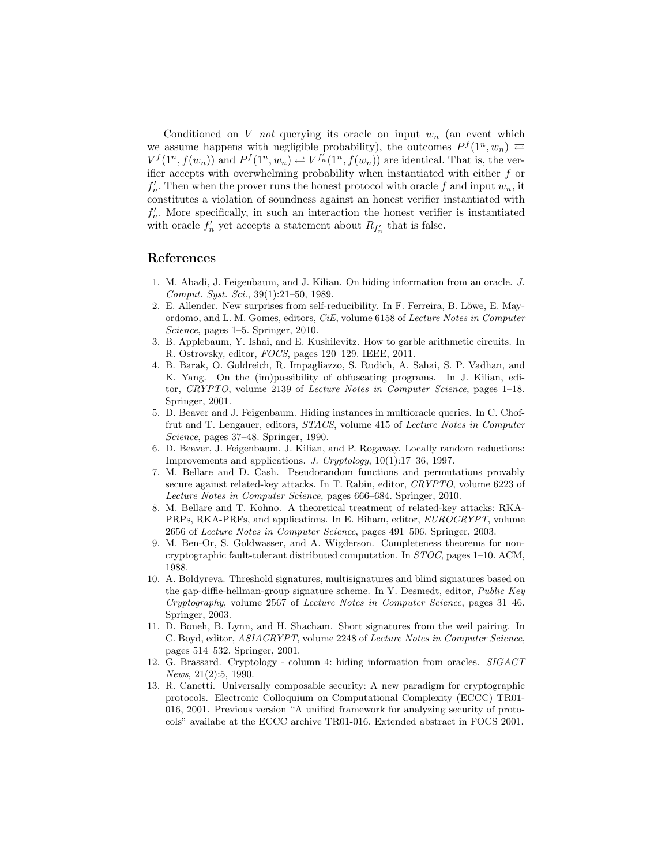Conditioned on V not querying its oracle on input  $w_n$  (an event which we assume happens with negligible probability), the outcomes  $P^f(1^n, w_n) \rightleftarrows$  $V^f(1^n, f(w_n))$  and  $P^f(1^n, w_n) \rightleftarrows V^{f'_n}(1^n, f(w_n))$  are identical. That is, the verifier accepts with overwhelming probability when instantiated with either  $f$  or  $f'_n$ . Then when the prover runs the honest protocol with oracle f and input  $w_n$ , it constitutes a violation of soundness against an honest verifier instantiated with  $f'_n$ . More specifically, in such an interaction the honest verifier is instantiated with oracle  $f'_n$  yet accepts a statement about  $R_{f'_n}$  that is false.

## References

- <span id="page-16-5"></span>1. M. Abadi, J. Feigenbaum, and J. Kilian. On hiding information from an oracle. J. Comput. Syst. Sci., 39(1):21–50, 1989.
- <span id="page-16-4"></span>2. E. Allender. New surprises from self-reducibility. In F. Ferreira, B. Löwe, E. Mayordomo, and L. M. Gomes, editors, CiE, volume 6158 of Lecture Notes in Computer Science, pages 1–5. Springer, 2010.
- <span id="page-16-1"></span>3. B. Applebaum, Y. Ishai, and E. Kushilevitz. How to garble arithmetic circuits. In R. Ostrovsky, editor, FOCS, pages 120–129. IEEE, 2011.
- <span id="page-16-3"></span>4. B. Barak, O. Goldreich, R. Impagliazzo, S. Rudich, A. Sahai, S. P. Vadhan, and K. Yang. On the (im)possibility of obfuscating programs. In J. Kilian, editor, CRYPTO, volume 2139 of Lecture Notes in Computer Science, pages 1–18. Springer, 2001.
- <span id="page-16-2"></span>5. D. Beaver and J. Feigenbaum. Hiding instances in multioracle queries. In C. Choffrut and T. Lengauer, editors, STACS, volume 415 of Lecture Notes in Computer Science, pages 37–48. Springer, 1990.
- <span id="page-16-7"></span>6. D. Beaver, J. Feigenbaum, J. Kilian, and P. Rogaway. Locally random reductions: Improvements and applications. J. Cryptology, 10(1):17–36, 1997.
- <span id="page-16-10"></span>7. M. Bellare and D. Cash. Pseudorandom functions and permutations provably secure against related-key attacks. In T. Rabin, editor, CRYPTO, volume 6223 of Lecture Notes in Computer Science, pages 666–684. Springer, 2010.
- <span id="page-16-9"></span>8. M. Bellare and T. Kohno. A theoretical treatment of related-key attacks: RKA-PRPs, RKA-PRFs, and applications. In E. Biham, editor, EUROCRYPT, volume 2656 of Lecture Notes in Computer Science, pages 491–506. Springer, 2003.
- <span id="page-16-0"></span>9. M. Ben-Or, S. Goldwasser, and A. Wigderson. Completeness theorems for noncryptographic fault-tolerant distributed computation. In STOC, pages 1–10. ACM, 1988.
- <span id="page-16-12"></span>10. A. Boldyreva. Threshold signatures, multisignatures and blind signatures based on the gap-diffie-hellman-group signature scheme. In Y. Desmedt, editor, Public Key Cryptography, volume 2567 of Lecture Notes in Computer Science, pages 31–46. Springer, 2003.
- <span id="page-16-11"></span>11. D. Boneh, B. Lynn, and H. Shacham. Short signatures from the weil pairing. In C. Boyd, editor, ASIACRYPT, volume 2248 of Lecture Notes in Computer Science, pages 514–532. Springer, 2001.
- <span id="page-16-6"></span>12. G. Brassard. Cryptology - column 4: hiding information from oracles. SIGACT News, 21(2):5, 1990.
- <span id="page-16-8"></span>13. R. Canetti. Universally composable security: A new paradigm for cryptographic protocols. Electronic Colloquium on Computational Complexity (ECCC) TR01- 016, 2001. Previous version "A unified framework for analyzing security of protocols" availabe at the ECCC archive TR01-016. Extended abstract in FOCS 2001.